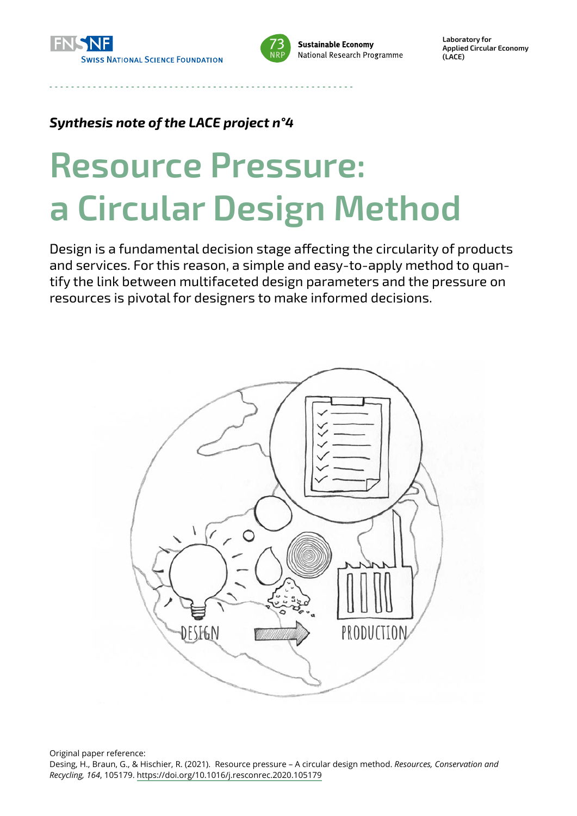



**Sustainable Economy** National Research Programme **Laboratory for Applied Circular Economy (LACE)**

#### *Synthesis note of the LACE project n°4*

# **Resource Pressure: a Circular Design Method**

Design is a fundamental decision stage affecting the circularity of products and services. For this reason, a simple and easy-to-apply method to quantify the link between multifaceted design parameters and the pressure on resources is pivotal for designers to make informed decisions.



Original paper reference:

Desing, H., Braun, G., & Hischier, R. (2021). Resource pressure – A circular design method. *Resources, Conservation and Recycling, 164*, 105179. <https://doi.org/10.1016/j.resconrec.2020.105179>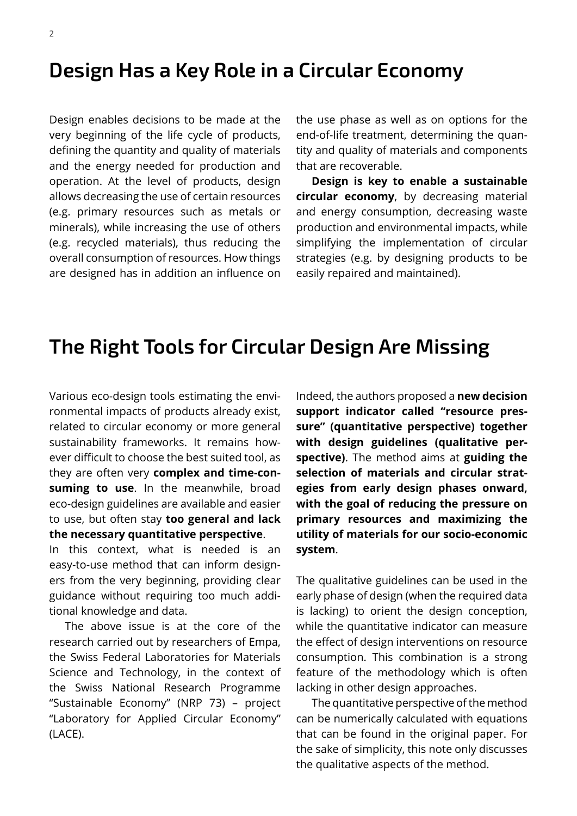#### **Design Has a Key Role in a Circular Economy**

Design enables decisions to be made at the very beginning of the life cycle of products, defining the quantity and quality of materials and the energy needed for production and operation. At the level of products, design allows decreasing the use of certain resources (e.g. primary resources such as metals or minerals), while increasing the use of others (e.g. recycled materials), thus reducing the overall consumption of resources. How things are designed has in addition an influence on the use phase as well as on options for the end-of-life treatment, determining the quantity and quality of materials and components that are recoverable.

**Design is key to enable a sustainable circular economy**, by decreasing material and energy consumption, decreasing waste production and environmental impacts, while simplifying the implementation of circular strategies (e.g. by designing products to be easily repaired and maintained).

## **The Right Tools for Circular Design Are Missing**

Various eco-design tools estimating the environmental impacts of products already exist, related to circular economy or more general sustainability frameworks. It remains however difficult to choose the best suited tool, as they are often very **complex and time‑con‑ suming to use**. In the meanwhile, broad eco‑design guidelines are available and easier to use, but often stay **too general and lack the necessary quantitative perspective**.

In this context, what is needed is an easy-to-use method that can inform designers from the very beginning, providing clear guidance without requiring too much additional knowledge and data.

The above issue is at the core of the research carried out by researchers of Empa, the Swiss Federal Laboratories for Materials Science and Technology, in the context of the Swiss National Research Programme "Sustainable Economy" (NRP 73) – project "Laboratory for Applied Circular Economy" (LACE).

Indeed, the authors proposed a **new decision support indicator called "resource pres‑ sure" (quantitative perspective) together with design guidelines (qualitative per‑ spective)**. The method aims at **guiding the selection of materials and circular strat‑ egies from early design phases onward, with the goal of reducing the pressure on primary resources and maximizing the utility of materials for our socio‑economic system**.

The qualitative guidelines can be used in the early phase of design (when the required data is lacking) to orient the design conception, while the quantitative indicator can measure the effect of design interventions on resource consumption. This combination is a strong feature of the methodology which is often lacking in other design approaches.

The quantitative perspective of the method can be numerically calculated with equations that can be found in the original paper. For the sake of simplicity, this note only discusses the qualitative aspects of the method.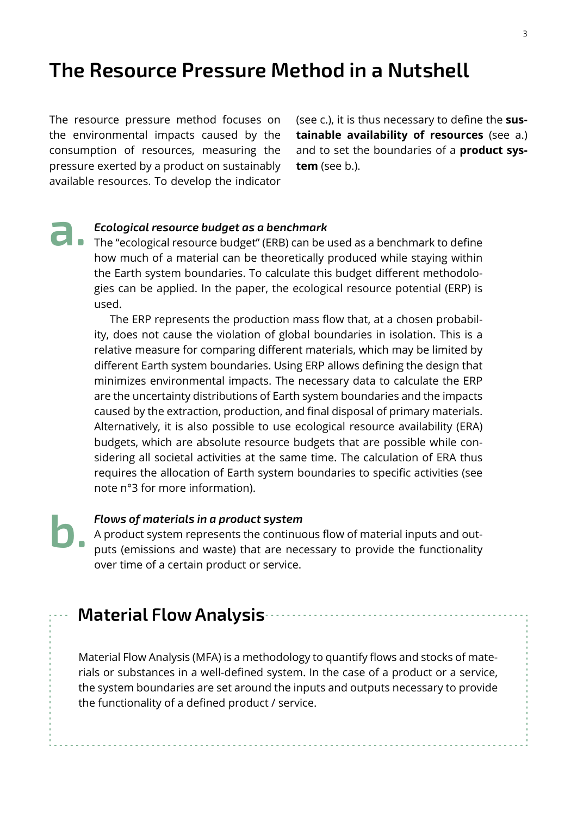## **The Resource Pressure Method in a Nutshell**

The resource pressure method focuses on the environmental impacts caused by the consumption of resources, measuring the pressure exerted by a product on sustainably available resources. To develop the indicator (see c.), it is thus necessary to define the **sus‑ tainable availability of resources** (see a.) and to set the boundaries of a **product sys‑ tem** (see b.).

**a.** *Ecological resource budget as a benchmark*<br>
The "ecological resource budget" (ERB) can be used as a benchmark to define how much of a material can be theoretically produced while staying within the Earth system boundaries. To calculate this budget different methodologies can be applied. In the paper, the ecological resource potential (ERP) is used.

> The ERP represents the production mass flow that, at a chosen probability, does not cause the violation of global boundaries in isolation. This is a relative measure for comparing different materials, which may be limited by different Earth system boundaries. Using ERP allows defining the design that minimizes environmental impacts. The necessary data to calculate the ERP are the uncertainty distributions of Earth system boundaries and the impacts caused by the extraction, production, and final disposal of primary materials. Alternatively, it is also possible to use ecological resource availability (ERA) budgets, which are absolute resource budgets that are possible while considering all societal activities at the same time. The calculation of ERA thus requires the allocation of Earth system boundaries to specific activities (see note n°3 for more information).

*Flows of materials in a product system* A product system represents the continuous flow of material inputs and outputs (emissions and waste) that are necessary to provide the functionality over time of a certain product or service. **b.** 

#### **Material Flow Analysis**

Material Flow Analysis (MFA) is a methodology to quantify flows and stocks of materials or substances in a well‑defined system. In the case of a product or a service, the system boundaries are set around the inputs and outputs necessary to provide the functionality of a defined product / service.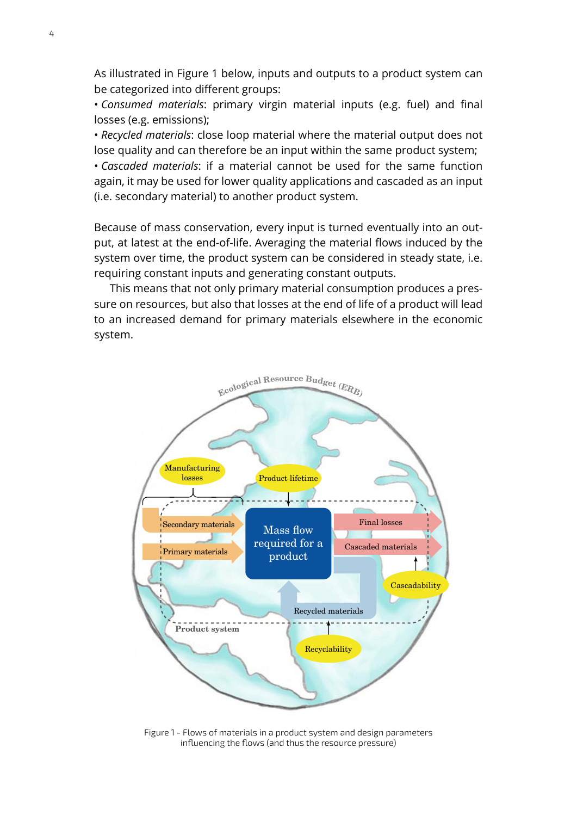As illustrated in Figure 1 below, inputs and outputs to a product system can be categorized into different groups:

• *Consumed materials*: primary virgin material inputs (e.g. fuel) and final losses (e.g. emissions);

• *Recycled materials*: close loop material where the material output does not lose quality and can therefore be an input within the same product system; • *Cascaded materials*: if a material cannot be used for the same function again, it may be used for lower quality applications and cascaded as an input (i.e. secondary material) to another product system.

Because of mass conservation, every input is turned eventually into an output, at latest at the end-of-life. Averaging the material flows induced by the system over time, the product system can be considered in steady state, i.e. requiring constant inputs and generating constant outputs.

This means that not only primary material consumption produces a pressure on resources, but also that losses at the end of life of a product will lead to an increased demand for primary materials elsewhere in the economic system.



Figure 1 - Flows of materials in a product system and design parameters influencing the flows (and thus the resource pressure)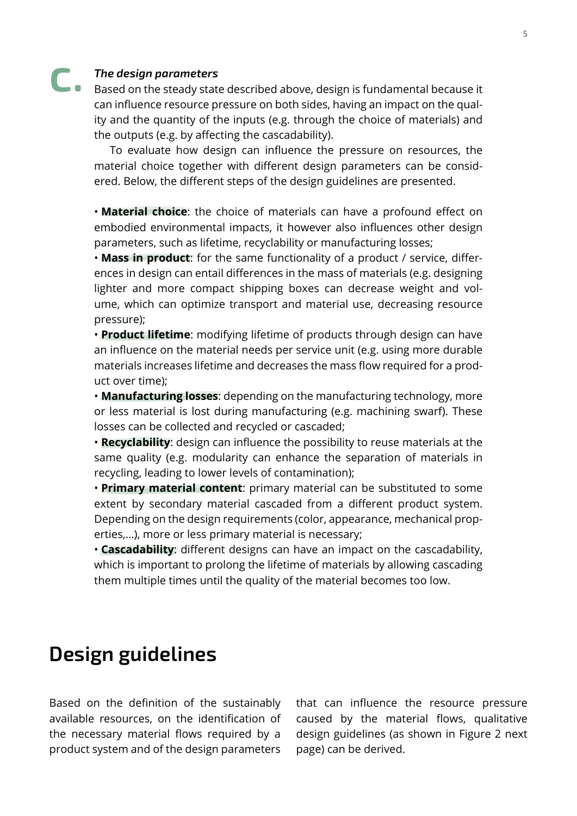# *The design parameters*  **c.**

Based on the steady state described above, design is fundamental because it can influence resource pressure on both sides, having an impact on the quality and the quantity of the inputs (e.g. through the choice of materials) and the outputs (e.g. by affecting the cascadability).

To evaluate how design can influence the pressure on resources, the material choice together with different design parameters can be considered. Below, the different steps of the design guidelines are presented.

• **Material choice**: the choice of materials can have a profound effect on embodied environmental impacts, it however also influences other design parameters, such as lifetime, recyclability or manufacturing losses;

• **Mass in product**: for the same functionality of a product / service, differences in design can entail differences in the mass of materials (e.g. designing lighter and more compact shipping boxes can decrease weight and volume, which can optimize transport and material use, decreasing resource pressure);

• **Product lifetime**: modifying lifetime of products through design can have an influence on the material needs per service unit (e.g. using more durable materials increases lifetime and decreases the mass flow required for a prod‑ uct over time);

• **Manufacturing losses**: depending on the manufacturing technology, more or less material is lost during manufacturing (e.g. machining swarf). These losses can be collected and recycled or cascaded;

• **Recyclability**: design can influence the possibility to reuse materials at the same quality (e.g. modularity can enhance the separation of materials in recycling, leading to lower levels of contamination);

• **Primary material content**: primary material can be substituted to some extent by secondary material cascaded from a different product system. Depending on the design requirements (color, appearance, mechanical properties,…), more or less primary material is necessary;

• **Cascadability**: different designs can have an impact on the cascadability, which is important to prolong the lifetime of materials by allowing cascading them multiple times until the quality of the material becomes too low.

#### **Design guidelines**

Based on the definition of the sustainably available resources, on the identification of the necessary material flows required by a product system and of the design parameters

that can influence the resource pressure caused by the material flows, qualitative design guidelines (as shown in Figure 2 next page) can be derived.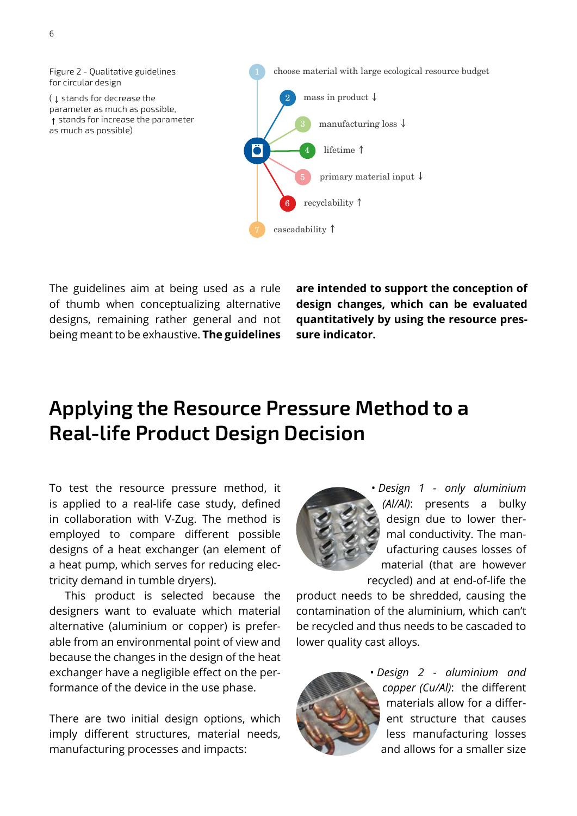

The guidelines aim at being used as a rule of thumb when conceptualizing alternative designs, remaining rather general and not being meant to be exhaustive. **The guidelines**  **are intended to support the conception of design changes, which can be evaluated quantitatively by using the resource pres‑ sure indicator.**

# **Applying the Resource Pressure Method to a Real‑life Product Design Decision**

To test the resource pressure method, it is applied to a real-life case study, defined in collaboration with V‑Zug. The method is employed to compare different possible designs of a heat exchanger (an element of a heat pump, which serves for reducing electricity demand in tumble dryers).

This product is selected because the designers want to evaluate which material alternative (aluminium or copper) is preferable from an environmental point of view and because the changes in the design of the heat exchanger have a negligible effect on the performance of the device in the use phase.

There are two initial design options, which imply different structures, material needs, manufacturing processes and impacts:



• *Design 1 ‑ only aluminium (Al/Al)*: presents a bulky design due to lower thermal conductivity. The manufacturing causes losses of material (that are however recycled) and at end‑of‑life the

product needs to be shredded, causing the contamination of the aluminium, which can't be recycled and thus needs to be cascaded to lower quality cast alloys.



• *Design 2 ‑ aluminium and copper (Cu/Al)*: the different materials allow for a different structure that causes less manufacturing losses and allows for a smaller size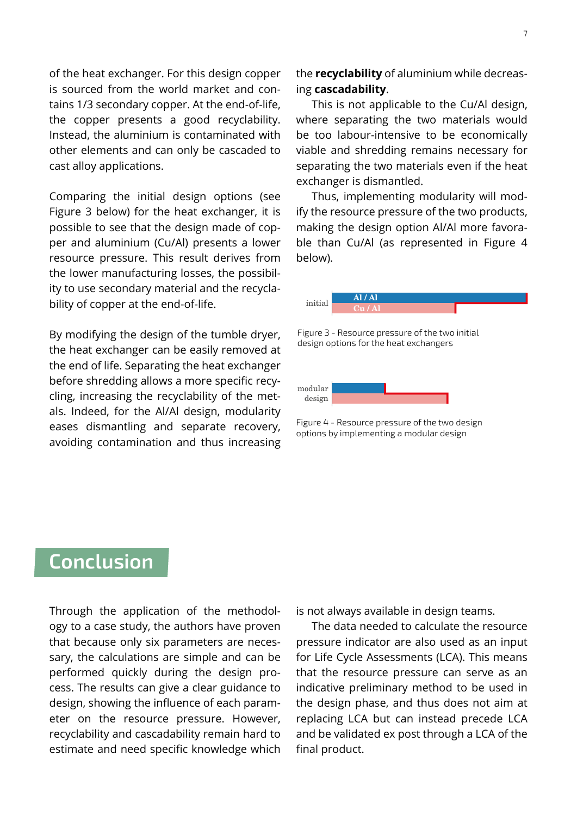of the heat exchanger. For this design copper is sourced from the world market and contains 1/3 secondary copper. At the end-of-life, the copper presents a good recyclability. Instead, the aluminium is contaminated with other elements and can only be cascaded to cast alloy applications.

Comparing the initial design options (see Figure 3 below) for the heat exchanger, it is possible to see that the design made of copper and aluminium (Cu/Al) presents a lower resource pressure. This result derives from the lower manufacturing losses, the possibil‑ ity to use secondary material and the recyclability of copper at the end-of-life.

By modifying the design of the tumble dryer, the heat exchanger can be easily removed at the end of life. Separating the heat exchanger before shredding allows a more specific recycling, increasing the recyclability of the metals. Indeed, for the Al/Al design, modularity eases dismantling and separate recovery, avoiding contamination and thus increasing the **recyclability** of aluminium while decreas‑ ing **cascadability**.

This is not applicable to the Cu/Al design, where separating the two materials would be too labour-intensive to be economically viable and shredding remains necessary for separating the two materials even if the heat exchanger is dismantled.

Thus, implementing modularity will modify the resource pressure of the two products, making the design option Al/Al more favorable than Cu/Al (as represented in Figure 4 below).



Figure 3 - Resource pressure of the two initial design options for the heat exchangers



Figure 4 - Resource pressure of the two design options by implementing a modular design

# **Conclusion**

Through the application of the methodology to a case study, the authors have proven that because only six parameters are necessary, the calculations are simple and can be performed quickly during the design process. The results can give a clear guidance to design, showing the influence of each parameter on the resource pressure. However, recyclability and cascadability remain hard to estimate and need specific knowledge which

is not always available in design teams.

The data needed to calculate the resource pressure indicator are also used as an input for Life Cycle Assessments (LCA). This means that the resource pressure can serve as an indicative preliminary method to be used in the design phase, and thus does not aim at replacing LCA but can instead precede LCA and be validated ex post through a LCA of the final product.